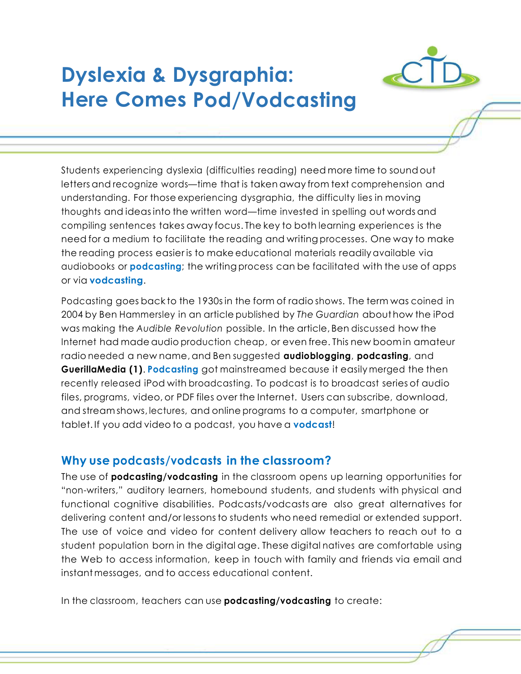# **Dyslexia & Dysgraphia: Here Comes Pod/Vodcasting**



Students experiencing dyslexia (difficulties reading) need more time to sound out letters and recognize words—time that is taken away from text comprehension and understanding. For those experiencing dysgraphia, the difficulty lies in moving thoughts and ideasinto the written word—time invested in spelling out words and compiling sentences takes away focus. The key to both learning experiences is the need for a medium to facilitate the reading and writing processes. One way to make the reading process easier is to make educational materials readilyavailable via audiobooks or **podcasting**; the writing process can be facilitated with the use of apps or via **vodcasting**.

Podcasting goes back to the 1930sin the form of radio shows. The term was coined in 2004 by Ben Hammersley in an article published by *The Guardian* about how the iPod was making the *Audible Revolution* possible. In the article, Ben discussed how the Internet had made audio production cheap, or even free. This new boom in amateur radio needed a new name,and Ben suggested **audioblogging**, **podcasting**, and **GuerillaMedia (1)**. **Podcasting** got mainstreamed because it easily merged the then recently released iPod with broadcasting. To podcast is to broadcast series of audio files, programs, video, or PDF files over the Internet. Users can subscribe, download, and stream shows, lectures, and online programs to a computer, smartphone or tablet. If you add video to a podcast, you have a **vodcast**!

#### **Why use podcasts/vodcasts in the classroom?**

The use of **podcasting/vodcasting** in the classroom opens up learning opportunities for "non-writers," auditory learners, homebound students, and students with physical and functional cognitive disabilities. Podcasts/vodcasts are also great alternatives for delivering content and/or lessons to students who need remedial or extended support. The use of voice and video for content delivery allow teachers to reach out to a student population born in the digital age. These digital natives are comfortable using the Web to access information, keep in touch with family and friends via email and instant messages, and to access educational content.

In the classroom, teachers can use **podcasting/vodcasting** to create: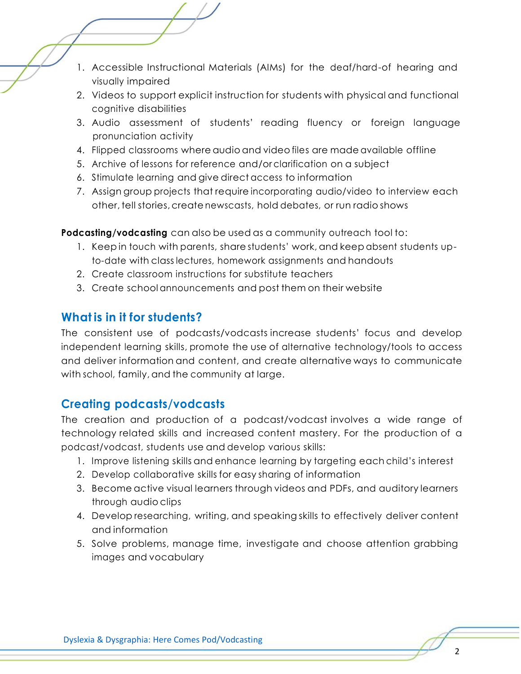- 1. Accessible Instructional Materials (AIMs) for the deaf/hard-of hearing and visually impaired
- 2. Videos to support explicit instruction for students with physical and functional cognitive disabilities
- 3. Audio assessment of students' reading fluency or foreign language pronunciation activity
- 4. Flipped classrooms where audio and video files are made available offline
- 5. Archive of lessons for reference and/or clarification on a subject
- 6. Stimulate learning and give direct access to information
- 7. Assign group projects that require incorporating audio/video to interview each other, tell stories, create newscasts, hold debates, or run radio shows

**Podcasting/vodcasting** can also be used as a community outreach tool to:

- 1. Keep in touch with parents, share students' work, and keep absent students upto-date with class lectures, homework assignments and handouts
- 2. Create classroom instructions for substitute teachers
- 3. Create school announcements and post them on their website

## **What is in it for students?**

The consistent use of podcasts/vodcasts increase students' focus and develop independent learning skills, promote the use of alternative technology/tools to access and deliver information and content, and create alternative ways to communicate with school, family, and the community at large.

# **Creating podcasts/vodcasts**

The creation and production of a podcast/vodcast involves a wide range of technology related skills and increased content mastery. For the production of a podcast/vodcast, students use and develop various skills:

- 1. Improve listening skills and enhance learning by targeting each child's interest
- 2. Develop collaborative skills for easy sharing of information
- 3. Become active visual learners through videos and PDFs, and auditory learners through audio clips
- 4. Develop researching, writing, and speaking skills to effectively deliver content and information
- 5. Solve problems, manage time, investigate and choose attention grabbing images and vocabulary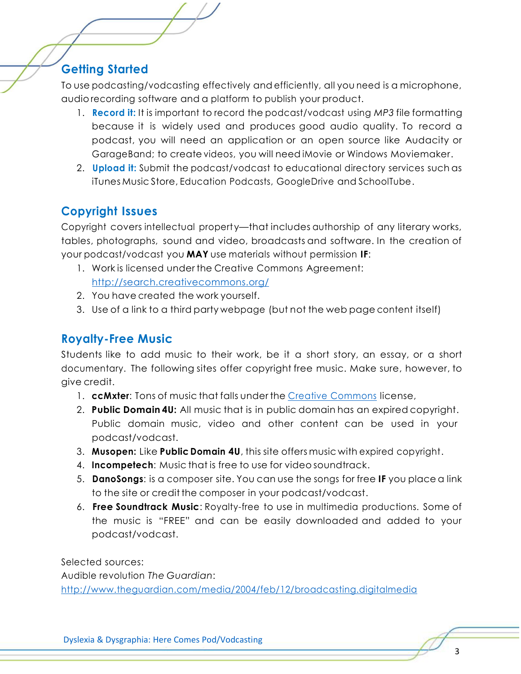### **Getting Started**

To use podcasting/vodcasting effectively and efficiently, all you need is a microphone, audio recording software and a platform to publish your product.

- 1. **Record it:** It is important to record the podcast/vodcast using *MP3* file formatting because it is widely used and produces good audio quality. To record a podcast, you will need an application or an open source like Audacity or GarageBand; to create videos, you will need iMovie or Windows Moviemaker.
- 2. **Upload it:** Submit the podcast/vodcast to educational directory services such as iTunes Music Store, Education Podcasts, GoogleDrive and SchoolTube.

### **Copyright Issues**

Copyright covers intellectual property—that includes authorship of any literary works, tables, photographs, sound and video, broadcasts and software. In the creation of your podcast/vodcast you **MAY** use materials without permission **IF**:

- 1. Work is licensed under the Creative Commons Agreement: <http://search.creativecommons.org/>
- 2. You have created the work yourself.
- 3. Use of a link to a third party webpage (but not the web page content itself)

#### **Royalty-Free Music**

Students like to add music to their work, be it a short story, an essay, or a short documentary. The following sites offer copyright free music. Make sure, however, to give credit.

- 1. **ccMxter**: Tons of music that falls under the Creative [Commons](http://creativecommons.org/) license,
- 2. **Public Domain 4U:** All music that is in public domain has an expired copyright. Public domain music, video and other content can be used in your podcast/vodcast.
- 3. **Musopen:** Like **Public Domain 4U**, this site offers music with expired copyright.
- 4. **Incompetech**: Music that is free to use for video soundtrack.
- 5. **DanoSongs**: is a composer site. You can use the songs for free **IF** you place a link to the site or credit the composer in your podcast/vodcast.
- 6. **Free Soundtrack Music**: Royalty-free to use in multimedia productions. Some of the music is "FREE" and can be easily downloaded and added to your podcast/vodcast.

Selected sources: Audible revolution *The Guardian*: <http://www.theguardian.com/media/2004/feb/12/broadcasting.digitalmedia>

Dyslexia & Dysgraphia: Here Comes Pod/Vodcasting